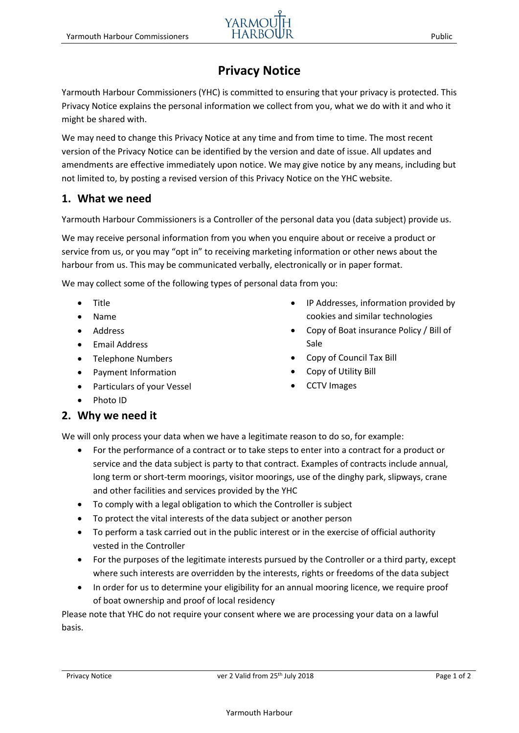# **Privacy Notice**

Yarmouth Harbour Commissioners (YHC) is committed to ensuring that your privacy is protected. This Privacy Notice explains the personal information we collect from you, what we do with it and who it might be shared with.

We may need to change this Privacy Notice at any time and from time to time. The most recent version of the Privacy Notice can be identified by the version and date of issue. All updates and amendments are effective immediately upon notice. We may give notice by any means, including but not limited to, by posting a revised version of this Privacy Notice on the YHC website.

## **1. What we need**

Yarmouth Harbour Commissioners is a Controller of the personal data you (data subject) provide us.

We may receive personal information from you when you enquire about or receive a product or service from us, or you may "opt in" to receiving marketing information or other news about the harbour from us. This may be communicated verbally, electronically or in paper format.

We may collect some of the following types of personal data from you:

- Title
- Name
- Address
- Email Address
- Telephone Numbers
- Payment Information
- Particulars of your Vessel
- IP Addresses, information provided by cookies and similar technologies
- Copy of Boat insurance Policy / Bill of Sale
- Copy of Council Tax Bill
- Copy of Utility Bill
- CCTV Images

• Photo ID

## **2. Why we need it**

We will only process your data when we have a legitimate reason to do so, for example:

- For the performance of a contract or to take steps to enter into a contract for a product or service and the data subject is party to that contract. Examples of contracts include annual, long term or short-term moorings, visitor moorings, use of the dinghy park, slipways, crane and other facilities and services provided by the YHC
- To comply with a legal obligation to which the Controller is subject
- To protect the vital interests of the data subject or another person
- To perform a task carried out in the public interest or in the exercise of official authority vested in the Controller
- For the purposes of the legitimate interests pursued by the Controller or a third party, except where such interests are overridden by the interests, rights or freedoms of the data subject
- In order for us to determine your eligibility for an annual mooring licence, we require proof of boat ownership and proof of local residency

Please note that YHC do not require your consent where we are processing your data on a lawful basis.